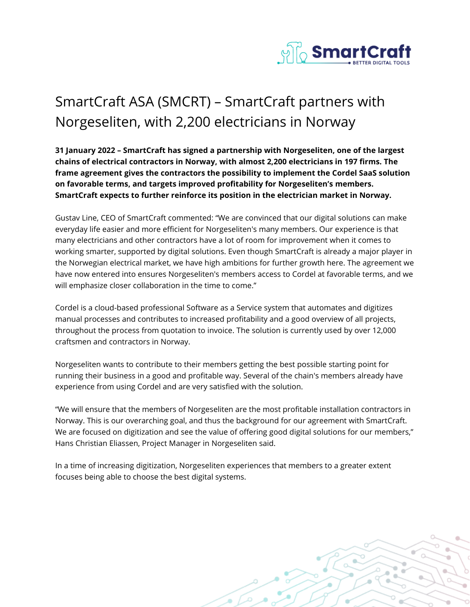

## SmartCraft ASA (SMCRT) – SmartCraft partners with Norgeseliten, with 2,200 electricians in Norway

**31 January 2022 – SmartCraft has signed a partnership with Norgeseliten, one of the largest chains of electrical contractors in Norway, with almost 2,200 electricians in 197 firms. The frame agreement gives the contractors the possibility to implement the Cordel SaaS solution on favorable terms, and targets improved profitability for Norgeseliten's members. SmartCraft expects to further reinforce its position in the electrician market in Norway.**

Gustav Line, CEO of SmartCraft commented: "We are convinced that our digital solutions can make everyday life easier and more efficient for Norgeseliten's many members. Our experience is that many electricians and other contractors have a lot of room for improvement when it comes to working smarter, supported by digital solutions. Even though SmartCraft is already a major player in the Norwegian electrical market, we have high ambitions for further growth here. The agreement we have now entered into ensures Norgeseliten's members access to Cordel at favorable terms, and we will emphasize closer collaboration in the time to come."

Cordel is a cloud-based professional Software as a Service system that automates and digitizes manual processes and contributes to increased profitability and a good overview of all projects, throughout the process from quotation to invoice. The solution is currently used by over 12,000 craftsmen and contractors in Norway.

Norgeseliten wants to contribute to their members getting the best possible starting point for running their business in a good and profitable way. Several of the chain's members already have experience from using Cordel and are very satisfied with the solution.

"We will ensure that the members of Norgeseliten are the most profitable installation contractors in Norway. This is our overarching goal, and thus the background for our agreement with SmartCraft. We are focused on digitization and see the value of offering good digital solutions for our members," Hans Christian Eliassen, Project Manager in Norgeseliten said.

In a time of increasing digitization, Norgeseliten experiences that members to a greater extent focuses being able to choose the best digital systems.